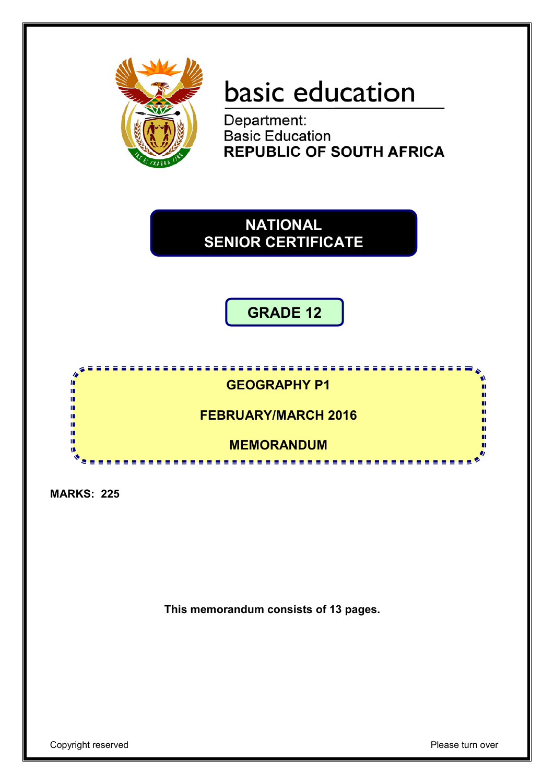

# basic education

Department: **Basic Education REPUBLIC OF SOUTH AFRICA** 

**NATIONAL SENIOR CERTIFICATE**

**GRADE 12**



**MARKS: 225**

**This memorandum consists of 13 pages.**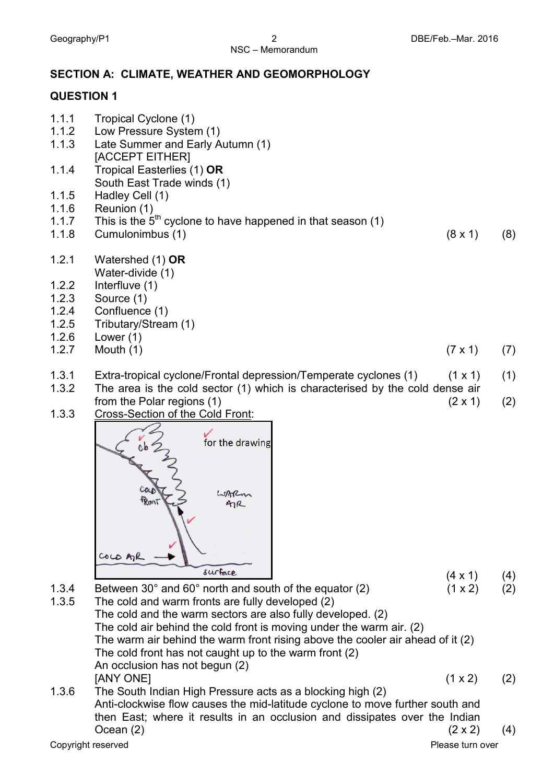### NSC – Memorandum

#### **SECTION A: CLIMATE, WEATHER AND GEOMORPHOLOGY**

#### **QUESTION 1**

- 1.1.1 Tropical Cyclone (1) 1.1.2 Low Pressure System (1) 1.1.3 Late Summer and Early Autumn (1) [ACCEPT EITHER] 1.1.4 Tropical Easterlies (1) **OR** South East Trade winds (1) 1.1.5 Hadley Cell (1) 1.1.6 Reunion (1) 1.1.7 This is the  $5<sup>th</sup>$  cyclone to have happened in that season (1) 1.1.8 Cumulonimbus (1) (8 x 1) (8) 1.2.1 Watershed (1) **OR** Water-divide (1) 1.2.2 Interfluve (1) 1.2.3 Source (1) 1.2.4 Confluence (1) 1.2.5 Tributary/Stream (1) 1.2.6 Lower (1) 1.2.7 Mouth (1)  $(7 \times 1)$  (7)
- 1.3.1 Extra-tropical cyclone/Frontal depression/Temperate cyclones (1) (1 x 1) (1)
- 1.3.2 The area is the cold sector (1) which is characterised by the cold dense air from the Polar regions  $(1)$  (2 x 1) (2)
- 1.3.3 Cross-Section of the Cold Front:



- $(4 \times 1)$  (4)
- 1.3.4 Between 30 $^{\circ}$  and 60 $^{\circ}$  north and south of the equator (2) (1 x 2) (2)
- 1.3.5 The cold and warm fronts are fully developed (2) The cold and the warm sectors are also fully developed. (2) The cold air behind the cold front is moving under the warm air. (2) The warm air behind the warm front rising above the cooler air ahead of it (2) The cold front has not caught up to the warm front (2) An occlusion has not begun (2)  $[ANY \t{ONEl}$  (1 x 2) (2)
- 1.3.6 The South Indian High Pressure acts as a blocking high (2) Anti-clockwise flow causes the mid-latitude cyclone to move further south and then East; where it results in an occlusion and dissipates over the Indian Ocean (2)  $(2 \times 2)$  (4)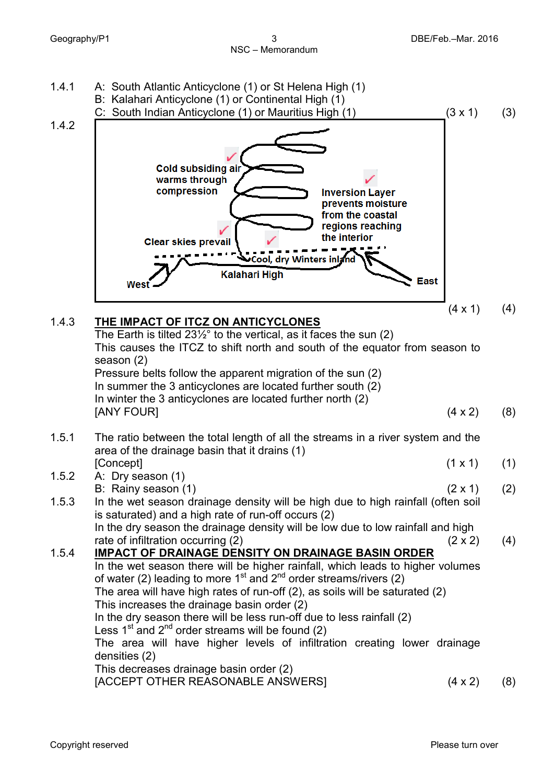

In the wet season there will be higher rainfall, which leads to higher volumes of water (2) leading to more  $1<sup>st</sup>$  and  $2<sup>nd</sup>$  order streams/rivers (2) The area will have high rates of run-off (2), as soils will be saturated (2)

1.5.4 **IMPACT OF DRAINAGE DENSITY ON DRAINAGE BASIN ORDER**

This increases the drainage basin order (2)

In the dry season there will be less run-off due to less rainfall (2) Less  $1<sup>st</sup>$  and  $2<sup>nd</sup>$  order streams will be found (2)

The area will have higher levels of infiltration creating lower drainage densities (2)

This decreases drainage basin order (2)

[ACCEPT OTHER REASONABLE ANSWERS] 
$$
(4 \times 2)
$$
  $(8)$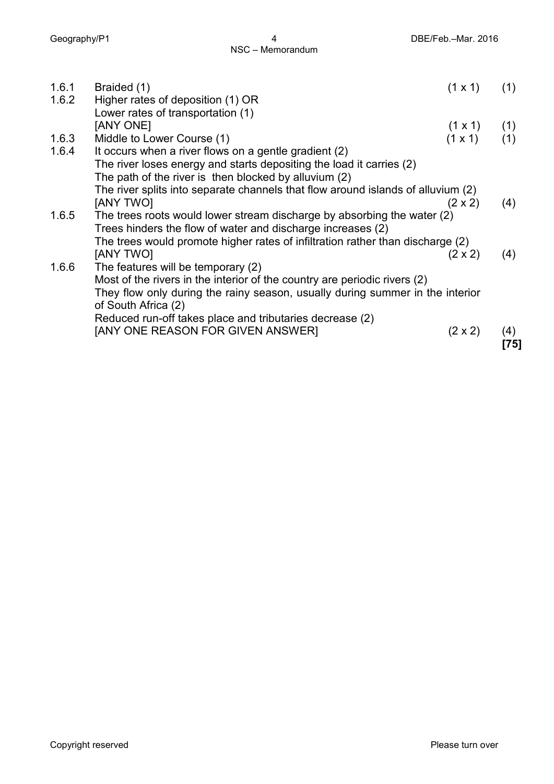| 1.6.1 | Braided (1)                                                                                                                            | $(1 \times 1)$                           | (1) |
|-------|----------------------------------------------------------------------------------------------------------------------------------------|------------------------------------------|-----|
| 1.6.2 | Higher rates of deposition (1) OR                                                                                                      |                                          |     |
|       | Lower rates of transportation (1)                                                                                                      |                                          |     |
|       | [ANY ONE]                                                                                                                              |                                          |     |
| 1.6.3 | Middle to Lower Course (1)                                                                                                             | $(1 \times 1)$ (1)<br>$(1 \times 1)$ (1) |     |
| 1.6.4 | It occurs when a river flows on a gentle gradient (2)                                                                                  |                                          |     |
|       | The river loses energy and starts depositing the load it carries (2)                                                                   |                                          |     |
|       | The path of the river is then blocked by alluvium (2)                                                                                  |                                          |     |
|       | The river splits into separate channels that flow around islands of alluvium (2)                                                       |                                          |     |
|       | [ANY TWO]                                                                                                                              | $(2 \times 2)$                           | (4) |
| 1.6.5 | The trees roots would lower stream discharge by absorbing the water (2)<br>Trees hinders the flow of water and discharge increases (2) |                                          |     |
|       | The trees would promote higher rates of infiltration rather than discharge (2)                                                         |                                          |     |
|       | <b>JANY TWOI</b>                                                                                                                       | $(2 \times 2)$                           | (4) |
| 1.6.6 | The features will be temporary (2)                                                                                                     |                                          |     |
|       | Most of the rivers in the interior of the country are periodic rivers (2)                                                              |                                          |     |
|       | They flow only during the rainy season, usually during summer in the interior<br>of South Africa (2)                                   |                                          |     |
|       | Reduced run-off takes place and tributaries decrease (2)                                                                               |                                          |     |
|       | [ANY ONE REASON FOR GIVEN ANSWER]                                                                                                      | $(2 \times 2)$                           | (4) |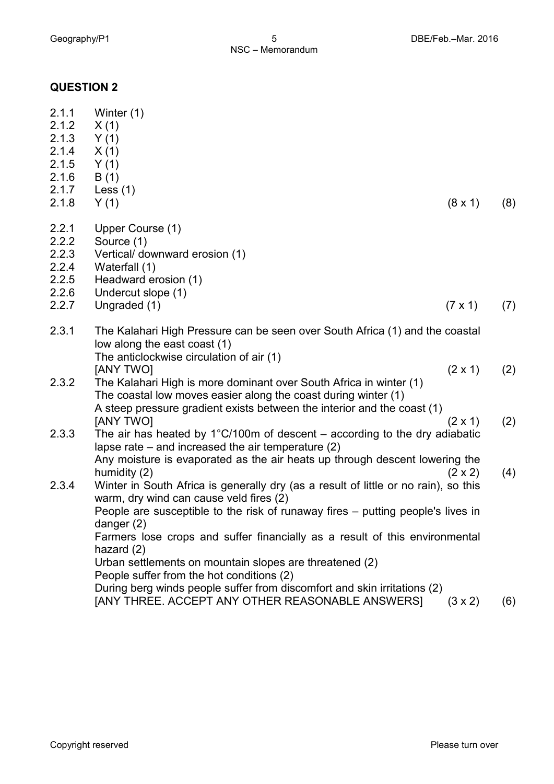#### **QUESTION 2**

| 2.1.1<br>2.1.2<br>2.1.3<br>2.1.4<br>2.1.5<br>2.1.6<br>2.1.7<br>2.1.8 | Winter (1)<br>X(1)<br>Y(1)<br>X(1)<br>Y(1)<br>B(1)<br>Less $(1)$<br>Y(1)<br>$(8 \times 1)$                                                                                                                                                     | (8) |
|----------------------------------------------------------------------|------------------------------------------------------------------------------------------------------------------------------------------------------------------------------------------------------------------------------------------------|-----|
| 2.2.1                                                                |                                                                                                                                                                                                                                                |     |
| 2.2.2                                                                | Upper Course (1)<br>Source (1)                                                                                                                                                                                                                 |     |
| 2.2.3                                                                | Vertical/ downward erosion (1)                                                                                                                                                                                                                 |     |
| 2.2.4                                                                | Waterfall (1)                                                                                                                                                                                                                                  |     |
| 2.2.5                                                                | Headward erosion (1)                                                                                                                                                                                                                           |     |
| 2.2.6                                                                | Undercut slope (1)                                                                                                                                                                                                                             |     |
| 2.2.7                                                                | Ungraded (1)<br>$(7 \times 1)$                                                                                                                                                                                                                 | (7) |
| 2.3.1                                                                | The Kalahari High Pressure can be seen over South Africa (1) and the coastal<br>low along the east coast (1)<br>The anticlockwise circulation of air (1)                                                                                       |     |
| 2.3.2                                                                | [ANY TWO]<br>$(2 \times 1)$<br>The Kalahari High is more dominant over South Africa in winter (1)<br>The coastal low moves easier along the coast during winter (1)<br>A steep pressure gradient exists between the interior and the coast (1) | (2) |
|                                                                      | [ANY TWO]<br>$(2 \times 1)$                                                                                                                                                                                                                    | (2) |
| 2.3.3                                                                | The air has heated by $1^{\circ}$ C/100m of descent – according to the dry adiabatic<br>lapse rate $-$ and increased the air temperature $(2)$                                                                                                 |     |
|                                                                      | Any moisture is evaporated as the air heats up through descent lowering the<br>humidity (2)<br>$(2 \times 2)$                                                                                                                                  | (4) |
| 2.3.4                                                                | Winter in South Africa is generally dry (as a result of little or no rain), so this<br>warm, dry wind can cause veld fires (2)                                                                                                                 |     |
|                                                                      | People are susceptible to the risk of runaway fires – putting people's lives in<br>danger $(2)$                                                                                                                                                |     |
|                                                                      | Farmers lose crops and suffer financially as a result of this environmental<br>hazard $(2)$                                                                                                                                                    |     |
|                                                                      | Urban settlements on mountain slopes are threatened (2)<br>People suffer from the hot conditions (2)                                                                                                                                           |     |
|                                                                      | During berg winds poonle suffer from discomfort and skip irritations (2)                                                                                                                                                                       |     |

During berg winds people suffer from discomfort and skin irritations (2) [ANY THREE. ACCEPT ANY OTHER REASONABLE ANSWERS] (3 x 2) (6)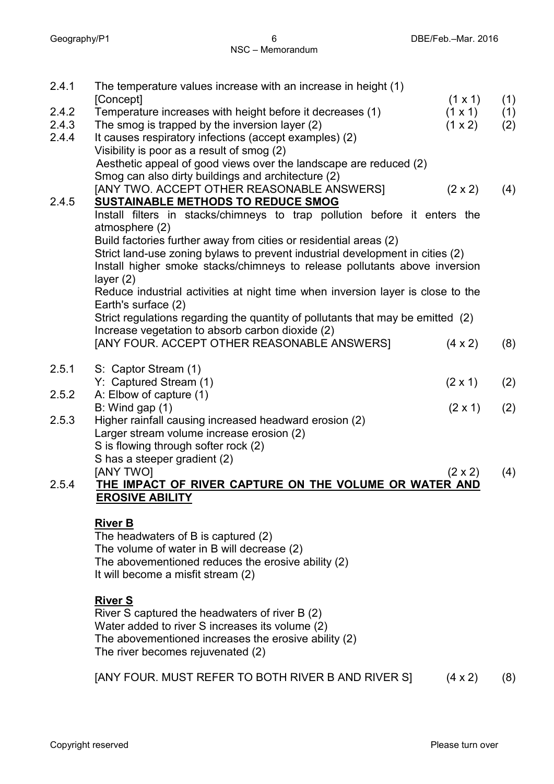| 2.4.1 | The temperature values increase with an increase in height (1)<br>[Concept]<br>$(1 \times 1)$ | (1) |
|-------|-----------------------------------------------------------------------------------------------|-----|
| 2.4.2 | Temperature increases with height before it decreases (1)<br>$(1 \times 1)$                   | (1) |
| 2.4.3 | The smog is trapped by the inversion layer (2)<br>(1 x 2)                                     | (2) |
| 2.4.4 | It causes respiratory infections (accept examples) (2)                                        |     |
|       | Visibility is poor as a result of smog (2)                                                    |     |
|       | Aesthetic appeal of good views over the landscape are reduced (2)                             |     |
|       | Smog can also dirty buildings and architecture (2)                                            |     |
|       | [ANY TWO. ACCEPT OTHER REASONABLE ANSWERS]<br>$(2 \times 2)$                                  | (4) |
| 2.4.5 | <b>SUSTAINABLE METHODS TO REDUCE SMOG</b>                                                     |     |
|       | Install filters in stacks/chimneys to trap pollution before it enters the                     |     |
|       | atmosphere (2)                                                                                |     |
|       | Build factories further away from cities or residential areas (2)                             |     |
|       | Strict land-use zoning bylaws to prevent industrial development in cities (2)                 |     |
|       | Install higher smoke stacks/chimneys to release pollutants above inversion                    |     |
|       | layer $(2)$                                                                                   |     |
|       | Reduce industrial activities at night time when inversion layer is close to the               |     |
|       | Earth's surface (2)                                                                           |     |
|       | Strict regulations regarding the quantity of pollutants that may be emitted (2)               |     |
|       | Increase vegetation to absorb carbon dioxide (2)                                              |     |
|       | [ANY FOUR. ACCEPT OTHER REASONABLE ANSWERS]<br>$(4 \times 2)$                                 | (8) |
|       |                                                                                               |     |
| 2.5.1 | S: Captor Stream (1)                                                                          |     |
|       | Y: Captured Stream (1)<br>$(2 \times 1)$                                                      | (2) |
| 2.5.2 | A: Elbow of capture (1)                                                                       |     |
|       | $B:$ Wind gap $(1)$<br>$(2 \times 1)$                                                         | (2) |
| 2.5.3 | Higher rainfall causing increased headward erosion (2)                                        |     |
|       | Larger stream volume increase erosion (2)                                                     |     |
|       | S is flowing through softer rock (2)                                                          |     |
|       | S has a steeper gradient (2)                                                                  |     |
|       | [ANY TWO]<br>$(2 \times 2)$                                                                   | (4) |
| 2.5.4 | THE IMPACT OF RIVER CAPTURE ON THE VOLUME OR WATER AND                                        |     |
|       | <b>EROSIVE ABILITY</b>                                                                        |     |
|       |                                                                                               |     |
|       | <b>River B</b>                                                                                |     |
|       | The headwaters of B is captured (2)                                                           |     |
|       | The volume of water in B will decrease (2)                                                    |     |
|       | The abovementioned reduces the erosive ability (2)                                            |     |
|       | It will become a misfit stream (2)                                                            |     |
|       |                                                                                               |     |

**River S** River S captured the headwaters of river B (2) Water added to river S increases its volume (2) The abovementioned increases the erosive ability (2) The river becomes rejuvenated (2)

[ANY FOUR. MUST REFER TO BOTH RIVER B AND RIVER S] (4 x 2) (8)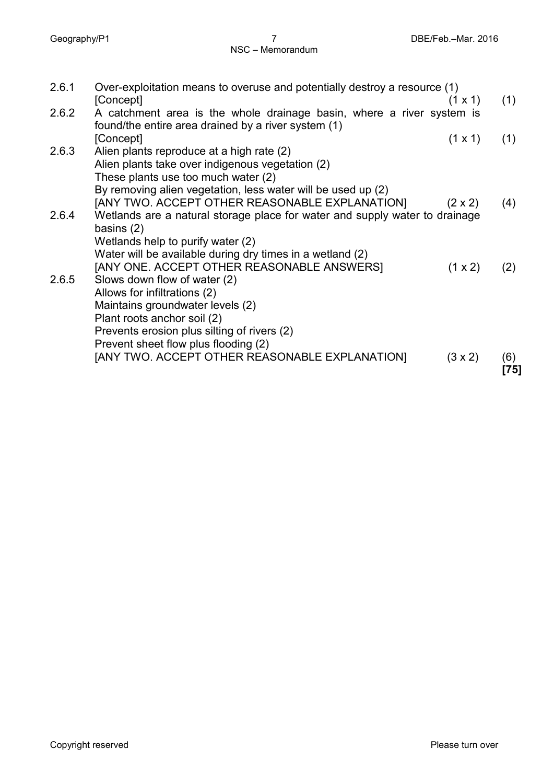| Over-exploitation means to overuse and potentially destroy a resource (1)<br>[Concept]<br>$(1 \times 1)$                     | (1)                                                                                                                                                                                                                                                                                                                                                                                                                                                                                                                                                                                                    |
|------------------------------------------------------------------------------------------------------------------------------|--------------------------------------------------------------------------------------------------------------------------------------------------------------------------------------------------------------------------------------------------------------------------------------------------------------------------------------------------------------------------------------------------------------------------------------------------------------------------------------------------------------------------------------------------------------------------------------------------------|
| A catchment area is the whole drainage basin, where a river system is<br>found/the entire area drained by a river system (1) |                                                                                                                                                                                                                                                                                                                                                                                                                                                                                                                                                                                                        |
| [Concept]<br>$(1 \times 1)$                                                                                                  | (1)                                                                                                                                                                                                                                                                                                                                                                                                                                                                                                                                                                                                    |
| Alien plants reproduce at a high rate (2)                                                                                    |                                                                                                                                                                                                                                                                                                                                                                                                                                                                                                                                                                                                        |
| Alien plants take over indigenous vegetation (2)                                                                             |                                                                                                                                                                                                                                                                                                                                                                                                                                                                                                                                                                                                        |
| These plants use too much water (2)                                                                                          |                                                                                                                                                                                                                                                                                                                                                                                                                                                                                                                                                                                                        |
| By removing alien vegetation, less water will be used up (2)                                                                 |                                                                                                                                                                                                                                                                                                                                                                                                                                                                                                                                                                                                        |
| $(2 \times 2)$                                                                                                               | (4)                                                                                                                                                                                                                                                                                                                                                                                                                                                                                                                                                                                                    |
|                                                                                                                              |                                                                                                                                                                                                                                                                                                                                                                                                                                                                                                                                                                                                        |
|                                                                                                                              |                                                                                                                                                                                                                                                                                                                                                                                                                                                                                                                                                                                                        |
|                                                                                                                              |                                                                                                                                                                                                                                                                                                                                                                                                                                                                                                                                                                                                        |
|                                                                                                                              |                                                                                                                                                                                                                                                                                                                                                                                                                                                                                                                                                                                                        |
|                                                                                                                              | (2)                                                                                                                                                                                                                                                                                                                                                                                                                                                                                                                                                                                                    |
|                                                                                                                              |                                                                                                                                                                                                                                                                                                                                                                                                                                                                                                                                                                                                        |
|                                                                                                                              |                                                                                                                                                                                                                                                                                                                                                                                                                                                                                                                                                                                                        |
|                                                                                                                              |                                                                                                                                                                                                                                                                                                                                                                                                                                                                                                                                                                                                        |
|                                                                                                                              |                                                                                                                                                                                                                                                                                                                                                                                                                                                                                                                                                                                                        |
|                                                                                                                              |                                                                                                                                                                                                                                                                                                                                                                                                                                                                                                                                                                                                        |
|                                                                                                                              |                                                                                                                                                                                                                                                                                                                                                                                                                                                                                                                                                                                                        |
|                                                                                                                              | (6)<br>[75]                                                                                                                                                                                                                                                                                                                                                                                                                                                                                                                                                                                            |
|                                                                                                                              | [ANY TWO. ACCEPT OTHER REASONABLE EXPLANATION]<br>Wetlands are a natural storage place for water and supply water to drainage<br>basins $(2)$<br>Wetlands help to purify water (2)<br>Water will be available during dry times in a wetland (2)<br>[ANY ONE. ACCEPT OTHER REASONABLE ANSWERS]<br>(1 x 2)<br>Slows down flow of water (2)<br>Allows for infiltrations (2)<br>Maintains groundwater levels (2)<br>Plant roots anchor soil (2)<br>Prevents erosion plus silting of rivers (2)<br>Prevent sheet flow plus flooding (2)<br>[ANY TWO. ACCEPT OTHER REASONABLE EXPLANATION]<br>$(3 \times 2)$ |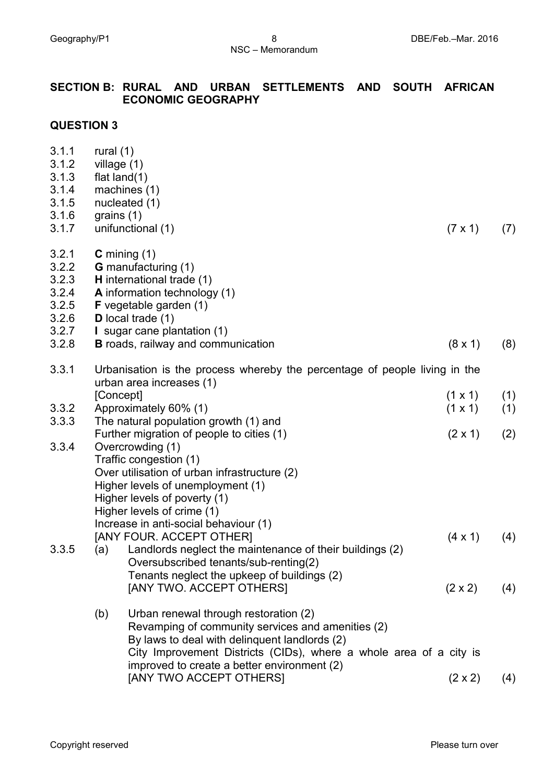## **SECTION B: RURAL AND URBAN SETTLEMENTS AND SOUTH AFRICAN ECONOMIC GEOGRAPHY**

#### **QUESTION 3**

| 3.1.1<br>3.1.2<br>3.1.3<br>3.1.4<br>3.1.5<br>3.1.6<br>3.1.7          | rural $(1)$<br>grains $(1)$ | village (1)<br>flat $land(1)$<br>machines (1)<br>nucleated (1)<br>unifunctional (1)                                                                                                                                                                                                         | $(7 \times 1)$                   | (7)        |
|----------------------------------------------------------------------|-----------------------------|---------------------------------------------------------------------------------------------------------------------------------------------------------------------------------------------------------------------------------------------------------------------------------------------|----------------------------------|------------|
| 3.2.1<br>3.2.2<br>3.2.3<br>3.2.4<br>3.2.5<br>3.2.6<br>3.2.7<br>3.2.8 |                             | $C$ mining $(1)$<br><b>G</b> manufacturing (1)<br>H international trade (1)<br>A information technology (1)<br><b>F</b> vegetable garden (1)<br>D local trade $(1)$<br>I sugar cane plantation (1)<br><b>B</b> roads, railway and communication                                             | $(8 \times 1)$                   | (8)        |
| 3.3.1                                                                |                             | Urbanisation is the process whereby the percentage of people living in the                                                                                                                                                                                                                  |                                  |            |
|                                                                      |                             | urban area increases (1)                                                                                                                                                                                                                                                                    |                                  |            |
| 3.3.2                                                                |                             | [Concept]<br>Approximately 60% (1)                                                                                                                                                                                                                                                          | $(1 \times 1)$<br>$(1 \times 1)$ | (1)<br>(1) |
| 3.3.3                                                                |                             | The natural population growth (1) and<br>Further migration of people to cities (1)                                                                                                                                                                                                          | $(2 \times 1)$                   | (2)        |
| 3.3.4                                                                |                             | Overcrowding (1)<br>Traffic congestion (1)<br>Over utilisation of urban infrastructure (2)<br>Higher levels of unemployment (1)<br>Higher levels of poverty (1)<br>Higher levels of crime (1)<br>Increase in anti-social behaviour (1)<br>[ANY FOUR. ACCEPT OTHER]                          | $(4 \times 1)$                   | (4)        |
| 3.3.5                                                                | (a)                         | Landlords neglect the maintenance of their buildings (2)<br>Oversubscribed tenants/sub-renting(2)<br>Tenants neglect the upkeep of buildings (2)                                                                                                                                            |                                  |            |
|                                                                      |                             | [ANY TWO. ACCEPT OTHERS]                                                                                                                                                                                                                                                                    | $(2 \times 2)$                   | (4)        |
|                                                                      | (b)                         | Urban renewal through restoration (2)<br>Revamping of community services and amenities (2)<br>By laws to deal with delinguent landlords (2)<br>City Improvement Districts (CIDs), where a whole area of a city is<br>improved to create a better environment (2)<br>[ANY TWO ACCEPT OTHERS] | $(2 \times 2)$                   | (4)        |
|                                                                      |                             |                                                                                                                                                                                                                                                                                             |                                  |            |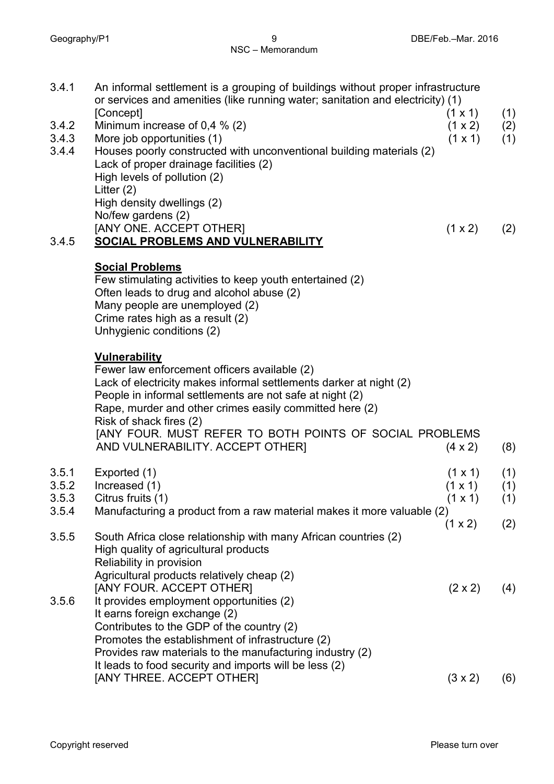| 3.4.1          | An informal settlement is a grouping of buildings without proper infrastructure<br>or services and amenities (like running water; sanitation and electricity) (1)                                                                                                 |                                  |            |
|----------------|-------------------------------------------------------------------------------------------------------------------------------------------------------------------------------------------------------------------------------------------------------------------|----------------------------------|------------|
| 3.4.2          | [Concept]<br>Minimum increase of 0,4 $%$ (2)                                                                                                                                                                                                                      | $(1 \times 1)$<br>(1 x 2)        | (1)<br>(2) |
| 3.4.3          | More job opportunities (1)                                                                                                                                                                                                                                        | $(1 \times 1)$                   | (1)        |
| 3.4.4          | Houses poorly constructed with unconventional building materials (2)<br>Lack of proper drainage facilities (2)<br>High levels of pollution (2)<br>Litter $(2)$                                                                                                    |                                  |            |
|                | High density dwellings (2)                                                                                                                                                                                                                                        |                                  |            |
|                | No/few gardens (2)                                                                                                                                                                                                                                                |                                  |            |
|                | [ANY ONE. ACCEPT OTHER]                                                                                                                                                                                                                                           | (1 x 2)                          | (2)        |
| 3.4.5          | SOCIAL PROBLEMS AND VULNERABILITY                                                                                                                                                                                                                                 |                                  |            |
|                | <b>Social Problems</b><br>Few stimulating activities to keep youth entertained (2)<br>Often leads to drug and alcohol abuse (2)<br>Many people are unemployed (2)                                                                                                 |                                  |            |
|                | Crime rates high as a result (2)<br>Unhygienic conditions (2)                                                                                                                                                                                                     |                                  |            |
|                |                                                                                                                                                                                                                                                                   |                                  |            |
|                | <b>Vulnerability</b><br>Fewer law enforcement officers available (2)<br>Lack of electricity makes informal settlements darker at night (2)<br>People in informal settlements are not safe at night (2)<br>Rape, murder and other crimes easily committed here (2) |                                  |            |
|                | Risk of shack fires (2)<br>[ANY FOUR. MUST REFER TO BOTH POINTS OF SOCIAL PROBLEMS                                                                                                                                                                                |                                  |            |
|                | AND VULNERABILITY. ACCEPT OTHER]                                                                                                                                                                                                                                  | $(4 \times 2)$                   | (8)        |
|                |                                                                                                                                                                                                                                                                   |                                  |            |
| 3.5.1<br>3.5.2 | Exported (1)<br>Increased (1)                                                                                                                                                                                                                                     | $(1 \times 1)$<br>$(1 \times 1)$ | (1)<br>(1) |
| 3.5.3          | Citrus fruits (1)                                                                                                                                                                                                                                                 | (1 x 1)                          | (1)        |
| 3.5.4          | Manufacturing a product from a raw material makes it more valuable (2)                                                                                                                                                                                            |                                  |            |
| 3.5.5          | South Africa close relationship with many African countries (2)<br>High quality of agricultural products                                                                                                                                                          | (1 x 2)                          | (2)        |
|                | Reliability in provision                                                                                                                                                                                                                                          |                                  |            |
|                | Agricultural products relatively cheap (2)                                                                                                                                                                                                                        |                                  |            |
| 3.5.6          | [ANY FOUR. ACCEPT OTHER]<br>It provides employment opportunities (2)                                                                                                                                                                                              | $(2 \times 2)$                   | (4)        |
|                | It earns foreign exchange (2)                                                                                                                                                                                                                                     |                                  |            |
|                | Contributes to the GDP of the country (2)                                                                                                                                                                                                                         |                                  |            |
|                | Promotes the establishment of infrastructure (2)                                                                                                                                                                                                                  |                                  |            |
|                | Provides raw materials to the manufacturing industry (2)<br>It leads to food security and imports will be less (2)                                                                                                                                                |                                  |            |
|                | [ANY THREE. ACCEPT OTHER]                                                                                                                                                                                                                                         | $(3 \times 2)$                   | (6)        |
|                |                                                                                                                                                                                                                                                                   |                                  |            |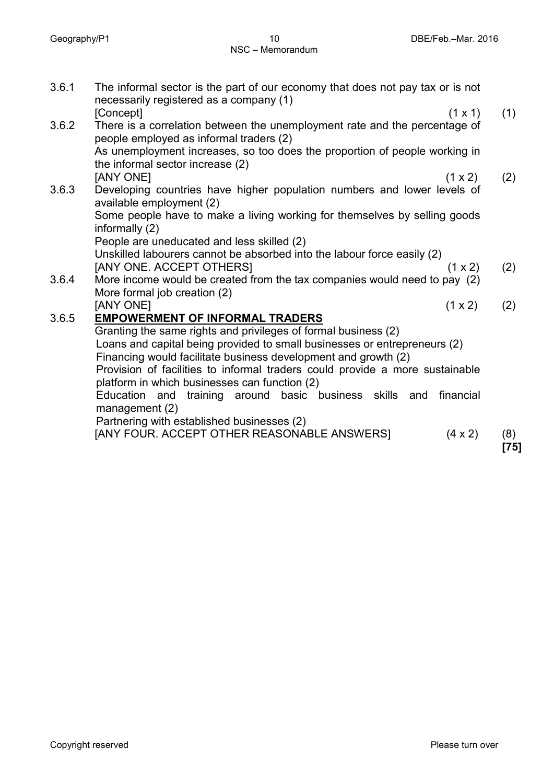|      | The informal sector is the part of our economy that does not pay tax or is not<br>necessarily registered as a company (1) | 3.6.1 |
|------|---------------------------------------------------------------------------------------------------------------------------|-------|
| (1)  | [Concept]<br>$(1 \times 1)$                                                                                               |       |
|      | There is a correlation between the unemployment rate and the percentage of<br>people employed as informal traders (2)     | 3.6.2 |
|      | As unemployment increases, so too does the proportion of people working in<br>the informal sector increase (2)            |       |
| (2)  | [ANY ONE]<br>(1 x 2)                                                                                                      |       |
|      | Developing countries have higher population numbers and lower levels of<br>available employment (2)                       | 3.6.3 |
|      | Some people have to make a living working for themselves by selling goods<br>informally (2)                               |       |
|      | People are uneducated and less skilled (2)                                                                                |       |
|      | Unskilled labourers cannot be absorbed into the labour force easily (2)                                                   |       |
| (2)  | [ANY ONE. ACCEPT OTHERS]<br>$(1 \times 2)$                                                                                |       |
|      | More income would be created from the tax companies would need to pay (2)<br>More formal job creation (2)                 | 3.6.4 |
| (2)  | [ANY ONE]<br>(1 x 2)                                                                                                      |       |
|      | <b>EMPOWERMENT OF INFORMAL TRADERS</b>                                                                                    | 3.6.5 |
|      | Granting the same rights and privileges of formal business (2)                                                            |       |
|      | Loans and capital being provided to small businesses or entrepreneurs (2)                                                 |       |
|      | Financing would facilitate business development and growth (2)                                                            |       |
|      | Provision of facilities to informal traders could provide a more sustainable                                              |       |
|      | platform in which businesses can function (2)                                                                             |       |
|      | training around basic business skills and<br>Education<br>financial<br>and<br>management (2)                              |       |
|      | Partnering with established businesses (2)                                                                                |       |
| (8)  | [ANY FOUR. ACCEPT OTHER REASONABLE ANSWERS]<br>$(4 \times 2)$                                                             |       |
| [75] |                                                                                                                           |       |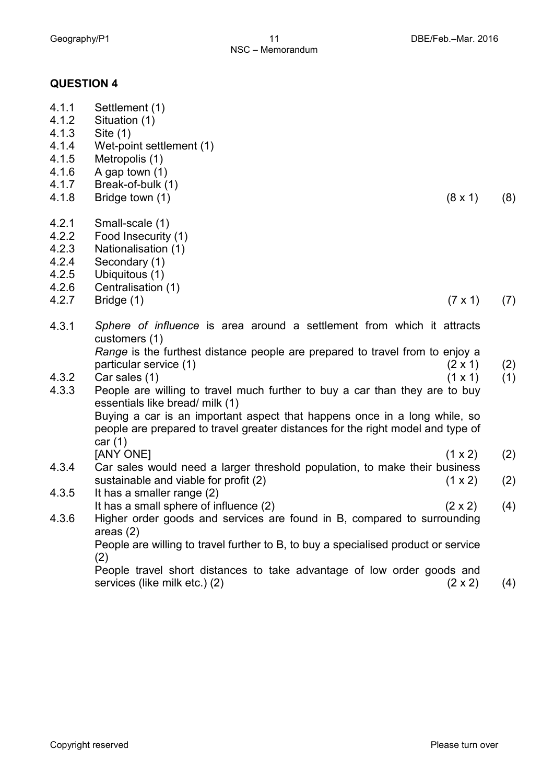#### **QUESTION 4**

| 4.1.1<br>4.1.2<br>4.1.3<br>4.1.4<br>4.1.5<br>4.1.6<br>4.1.7<br>4.1.8 | Settlement (1)<br>Situation (1)<br>Site $(1)$<br>Wet-point settlement (1)<br>Metropolis (1)<br>A gap town $(1)$<br>Break-of-bulk (1)<br>Bridge town (1)<br>(8 x 1)                                                                                                                                                | (8) |
|----------------------------------------------------------------------|-------------------------------------------------------------------------------------------------------------------------------------------------------------------------------------------------------------------------------------------------------------------------------------------------------------------|-----|
| 4.2.1<br>4.2.2<br>4.2.3<br>4.2.4<br>4.2.5                            | Small-scale (1)<br>Food Insecurity (1)<br>Nationalisation (1)<br>Secondary (1)<br>Ubiquitous (1)                                                                                                                                                                                                                  |     |
| 4.2.6                                                                | Centralisation (1)                                                                                                                                                                                                                                                                                                |     |
| 4.2.7                                                                | Bridge (1)<br>$(7 \times 1)$                                                                                                                                                                                                                                                                                      | (7) |
| 4.3.1                                                                | Sphere of influence is area around a settlement from which it attracts<br>customers (1)<br>Range is the furthest distance people are prepared to travel from to enjoy a<br>particular service (1)<br>$(2 \times 1)$                                                                                               | (2) |
| 4.3.2<br>4.3.3                                                       | Car sales (1)<br>$(1 \times 1)$<br>People are willing to travel much further to buy a car than they are to buy<br>essentials like bread/ milk (1)<br>Buying a car is an important aspect that happens once in a long while, so<br>people are prepared to travel greater distances for the right model and type of | (1) |
|                                                                      | car $(1)$                                                                                                                                                                                                                                                                                                         |     |
| 4.3.4                                                                | [ANY ONE]<br>(1 x 2)<br>Car sales would need a larger threshold population, to make their business                                                                                                                                                                                                                | (2) |
|                                                                      | sustainable and viable for profit (2)<br>$(1 \times 2)$                                                                                                                                                                                                                                                           | (2) |
| 4.3.5                                                                | It has a smaller range (2)<br>It has a small sphere of influence (2)<br>$(2 \times 2)$                                                                                                                                                                                                                            | (4) |
| 4.3.6                                                                | Higher order goods and services are found in B, compared to surrounding<br>areas $(2)$<br>People are willing to travel further to B, to buy a specialised product or service                                                                                                                                      |     |
|                                                                      | (2)<br>People travel short distances to take advantage of low order goods and<br>services (like milk etc.) (2)<br>$(2 \times 2)$                                                                                                                                                                                  | (4) |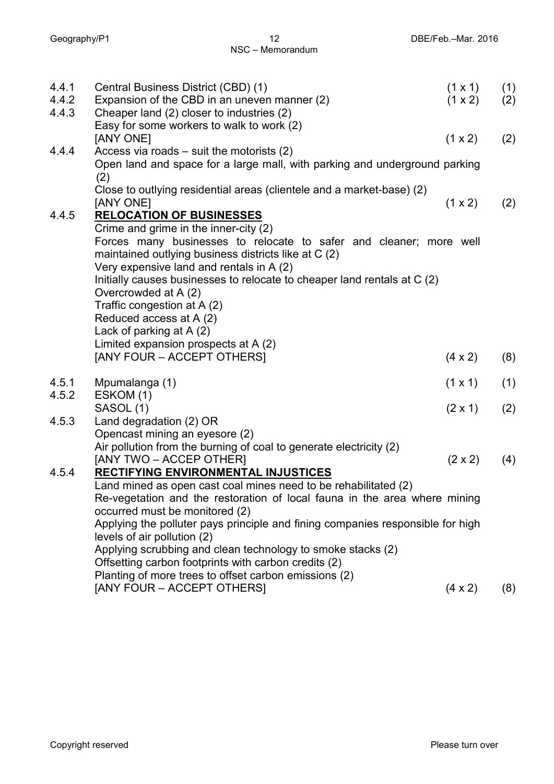| 4.4.1<br>4.4.2<br>4.4.3 | Central Business District (CBD) (1)<br>Expansion of the CBD in an uneven manner (2)<br>Cheaper land (2) closer to industries (2)                                                                                                                                                            | $(1 \times 1)$<br>(1 x 2) | (1)<br>(2) |  |
|-------------------------|---------------------------------------------------------------------------------------------------------------------------------------------------------------------------------------------------------------------------------------------------------------------------------------------|---------------------------|------------|--|
|                         | Easy for some workers to walk to work (2)<br>[ANY ONE]                                                                                                                                                                                                                                      | (1 x 2)                   | (2)        |  |
| 4.4.4                   | Access via roads $-$ suit the motorists (2)<br>Open land and space for a large mall, with parking and underground parking<br>(2)                                                                                                                                                            |                           |            |  |
|                         | Close to outlying residential areas (clientele and a market-base) (2)<br>[ANY ONE]                                                                                                                                                                                                          | (1 x 2)                   | (2)        |  |
| 4.4.5                   | <b>RELOCATION OF BUSINESSES</b>                                                                                                                                                                                                                                                             |                           |            |  |
|                         | Crime and grime in the inner-city (2)<br>Forces many businesses to relocate to safer and cleaner; more well<br>maintained outlying business districts like at C (2)<br>Very expensive land and rentals in A (2)<br>Initially causes businesses to relocate to cheaper land rentals at C (2) |                           |            |  |
|                         | Overcrowded at A (2)<br>Traffic congestion at A (2)                                                                                                                                                                                                                                         |                           |            |  |
|                         | Reduced access at A (2)                                                                                                                                                                                                                                                                     |                           |            |  |
|                         | Lack of parking at A (2)                                                                                                                                                                                                                                                                    |                           |            |  |
|                         | Limited expansion prospects at A (2)<br>[ANY FOUR – ACCEPT OTHERS]                                                                                                                                                                                                                          | $(4 \times 2)$            | (8)        |  |
| 4.5.1                   | Mpumalanga (1)                                                                                                                                                                                                                                                                              | $(1 \times 1)$            | (1)        |  |
| 4.5.2                   | ESKOM (1)<br>SASOL (1)                                                                                                                                                                                                                                                                      | $(2 \times 1)$            | (2)        |  |
| 4.5.3                   | Land degradation (2) OR                                                                                                                                                                                                                                                                     |                           |            |  |
|                         | Opencast mining an eyesore (2)                                                                                                                                                                                                                                                              |                           |            |  |
|                         | Air pollution from the burning of coal to generate electricity (2)<br>[ANY TWO – ACCEP OTHER]                                                                                                                                                                                               | $(2 \times 2)$            | (4)        |  |
| 4.5.4                   | RECTIFYING ENVIRONMENTAL INJUSTICES                                                                                                                                                                                                                                                         |                           |            |  |
|                         | Land mined as open cast coal mines need to be rehabilitated (2)                                                                                                                                                                                                                             |                           |            |  |
|                         | Re-vegetation and the restoration of local fauna in the area where mining                                                                                                                                                                                                                   |                           |            |  |
|                         | occurred must be monitored (2)<br>Applying the polluter pays principle and fining companies responsible for high                                                                                                                                                                            |                           |            |  |
|                         | levels of air pollution (2)                                                                                                                                                                                                                                                                 |                           |            |  |
|                         | Applying scrubbing and clean technology to smoke stacks (2)                                                                                                                                                                                                                                 |                           |            |  |
|                         | Offsetting carbon footprints with carbon credits (2)                                                                                                                                                                                                                                        |                           |            |  |
|                         | Planting of more trees to offset carbon emissions (2)<br>[ANY FOUR – ACCEPT OTHERS]                                                                                                                                                                                                         | $(4 \times 2)$            | (8)        |  |
|                         |                                                                                                                                                                                                                                                                                             |                           |            |  |